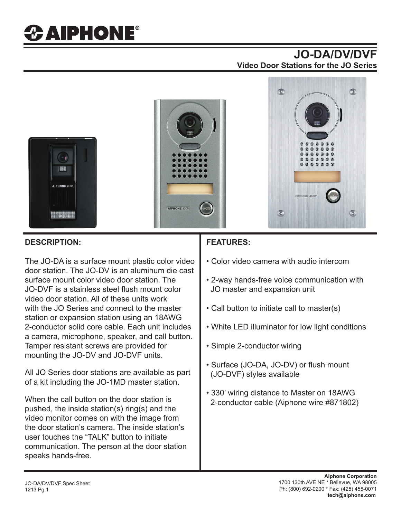## **JO-DA/DV/DVF Video Door Stations for the JO Series**



#### **DESCRIPTION:**

The JO-DA is a surface mount plastic color video door station. The JO-DV is an aluminum die cast surface mount color video door station. The JO-DVF is a stainless steel flush mount color video door station. All of these units work with the JO Series and connect to the master station or expansion station using an 18AWG 2-conductor solid core cable. Each unit includes a camera, microphone, speaker, and call button. Tamper resistant screws are provided for mounting the JO-DV and JO-DVF units.

All JO Series door stations are available as part of a kit including the JO-1MD master station.

When the call button on the door station is pushed, the inside station(s) ring(s) and the video monitor comes on with the image from the door station's camera. The inside station's user touches the "TALK" button to initiate communication. The person at the door station speaks hands-free.

### **FEATURES:**

- Color video camera with audio intercom
- 2-way hands-free voice communication with JO master and expansion unit
- Call button to initiate call to master(s)
- White LED illuminator for low light conditions
- Simple 2-conductor wiring
- Surface (JO-DA, JO-DV) or flush mount (JO-DVF) styles available
- 330' wiring distance to Master on 18AWG 2-conductor cable (Aiphone wire #871802)